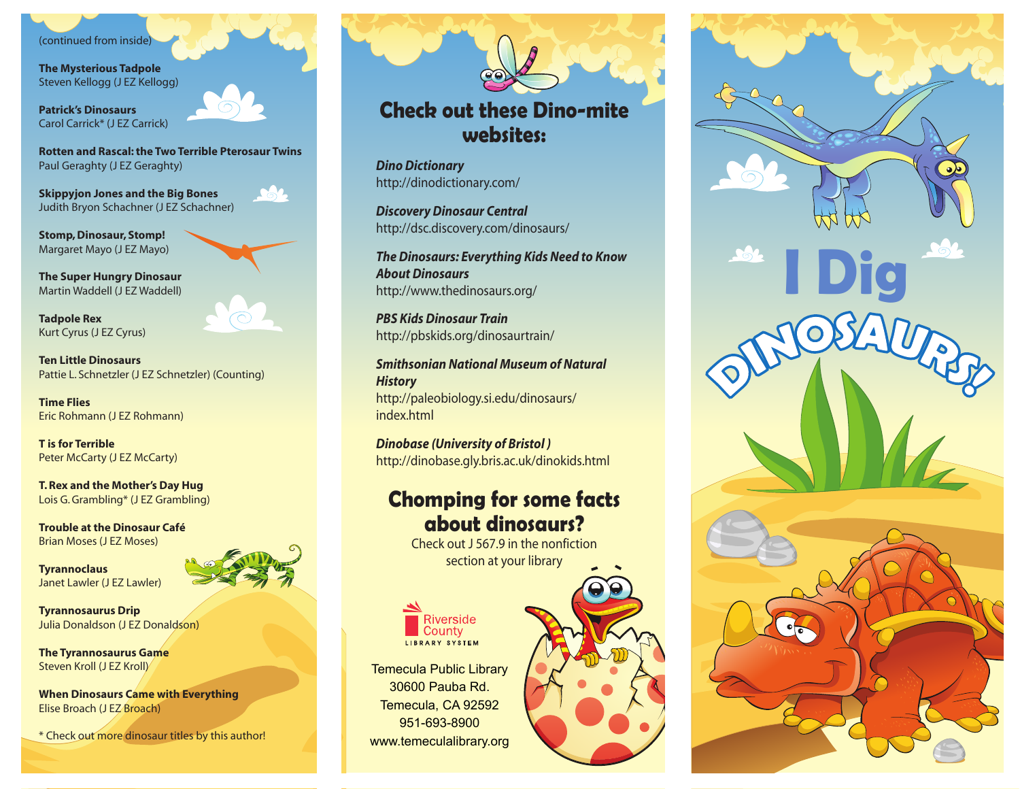## (continued from inside)

**The Mysterious Tadpole** Steven Kellogg (J EZ Kellogg)

**Patrick's Dinosaurs** Carol Carrick\* (J EZ Carrick)

**Rotten and Rascal: the Two Terrible Pterosaur Twins** Paul Geraghty (J EZ Geraghty)

**Skippyjon Jones and the Big Bones** Judith Bryon Schachner (J EZ Schachner)

**Stomp, Dinosaur, Stomp!** Margaret Mayo (J EZ Mayo)

**The Super Hungry Dinosaur** Martin Waddell (J EZ Waddell)

**Tadpole Rex** Kurt Cyrus (J EZ Cyrus)

**Ten Little Dinosaurs** Pattie L. Schnetzler (J EZ Schnetzler) (Counting)

**Time Flies** Eric Rohmann (J EZ Rohmann)

**T is for Terrible** Peter McCarty (J EZ McCarty)

**T. Rex and the Mother's Day Hug** Lois G. Grambling\* (J EZ Grambling)

**Trouble at the Dinosaur Café** Brian Moses (J EZ Moses)

**Tyrannoclaus** Janet Lawler (J EZ Lawler)



**Tyrannosaurus Drip** Julia Donaldson (J EZ Donaldson)

**The Tyrannosaurus Game** Steven Kroll (J EZ Kroll)

**When Dinosaurs Came with Everything** Elise Broach (J EZ Broach)

\* Check out more dinosaur titles by this author!

## **Check out these Dino-mite websites:**

*Dino Dictionary* http://dinodictionary.com/

*Discovery Dinosaur Central* http://dsc.discovery.com/dinosaurs/

*The Dinosaurs: Everything Kids Need to Know About Dinosaurs* http://www.thedinosaurs.org/

*PBS Kids Dinosaur Train* http://pbskids.org/dinosaurtrain/

*Smithsonian National Museum of Natural History* http://paleobiology.si.edu/dinosaurs/ index.html

*Dinobase (University of Bristol )* http://dinobase.gly.bris.ac.uk/dinokids.html

## **Chomping for some facts about dinosaurs?**

Check out J 567.9 in the nonfiction section at your library



Temecula Public Library 30600 Pauba Rd. Temecula, CA 92592 951-693-8900 www.temeculalibrary.org